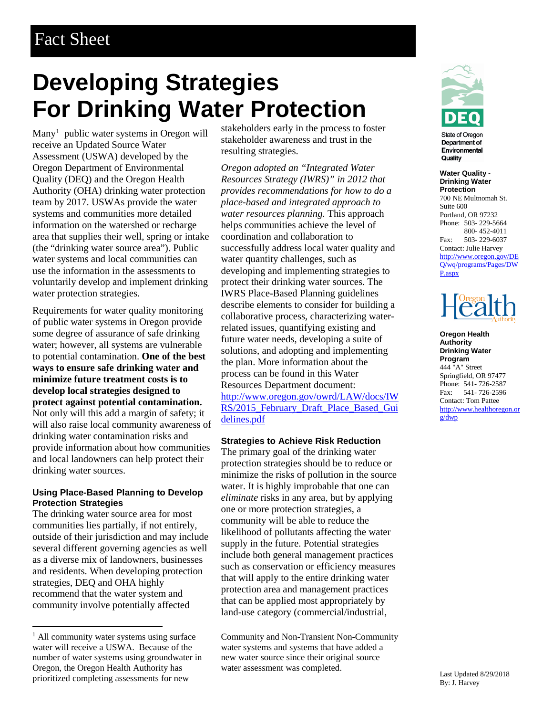# **Developing Strategies For Drinking Water Protection**

Many<sup>[1](#page-0-0)</sup> public water systems in Oregon will receive an Updated Source Water Assessment (USWA) developed by the Oregon Department of Environmental Quality (DEQ) and the Oregon Health Authority (OHA) drinking water protection team by 2017. USWAs provide the water systems and communities more detailed information on the watershed or recharge area that supplies their well, spring or intake (the "drinking water source area"). Public water systems and local communities can use the information in the assessments to voluntarily develop and implement drinking water protection strategies.

Requirements for water quality monitoring of public water systems in Oregon provide some degree of assurance of safe drinking water; however, all systems are vulnerable to potential contamination. **One of the best ways to ensure safe drinking water and minimize future treatment costs is to develop local strategies designed to protect against potential contamination.** Not only will this add a margin of safety; it will also raise local community awareness of drinking water contamination risks and provide information about how communities and local landowners can help protect their drinking water sources.

#### **Using Place-Based Planning to Develop Protection Strategies**

The drinking water source area for most communities lies partially, if not entirely, outside of their jurisdiction and may include several different governing agencies as well as a diverse mix of landowners, businesses and residents. When developing protection strategies, DEQ and OHA highly recommend that the water system and community involve potentially affected

stakeholders early in the process to foster stakeholder awareness and trust in the resulting strategies.

*Oregon adopted an "Integrated Water Resources Strategy (IWRS)" in 2012 that provides recommendations for how to do a place-based and integrated approach to water resources planning.* This approach helps communities achieve the level of coordination and collaboration to successfully address local water quality and water quantity challenges, such as developing and implementing strategies to protect their drinking water sources. The IWRS Place-Based Planning guidelines describe elements to consider for building a collaborative process, characterizing waterrelated issues, quantifying existing and future water needs, developing a suite of solutions, and adopting and implementing the plan. More information about the process can be found in this Water Resources Department document: [http://www.oregon.gov/owrd/LAW/docs/IW](http://www.oregon.gov/owrd/LAW/docs/IWRS/2015_February_Draft_Place_Based_Guidelines.pdf) [RS/2015\\_February\\_Draft\\_Place\\_Based\\_Gui](http://www.oregon.gov/owrd/LAW/docs/IWRS/2015_February_Draft_Place_Based_Guidelines.pdf) [delines.pdf](http://www.oregon.gov/owrd/LAW/docs/IWRS/2015_February_Draft_Place_Based_Guidelines.pdf)

#### **Strategies to Achieve Risk Reduction**

The primary goal of the drinking water protection strategies should be to reduce or minimize the risks of pollution in the source water. It is highly improbable that one can *eliminate* risks in any area, but by applying one or more protection strategies, a community will be able to reduce the likelihood of pollutants affecting the water supply in the future. Potential strategies include both general management practices such as conservation or efficiency measures that will apply to the entire drinking water protection area and management practices that can be applied most appropriately by land-use category (commercial/industrial,

Community and Non-Transient Non-Community water systems and systems that have added a new water source since their original source water assessment was completed.



State of Oregon **Department of** Environmental Quality

**Water Quality - Drinking Water Protection**  700 NE Multnomah St. Suite 600 Portland, OR 97232 Phone: 503- 229-5664 800- 452-4011 Fax: 503- 229-6037 Contact: Julie Harvey [http://www.oregon.gov/DE](http://www.oregon.gov/DEQ/wq/programs/Pages/DWP.aspx) [Q/wq/programs/Pages/DW](http://www.oregon.gov/DEQ/wq/programs/Pages/DWP.aspx) [P.aspx](http://www.oregon.gov/DEQ/wq/programs/Pages/DWP.aspx)



**Oregon Health Authority Drinking Water Program** 444 "A" Street Springfield, OR 97477 Phone: 541- 726-2587 Fax: 541- 726-2596 Contact: Tom Pattee [http://www.healthoregon.or](http://www.healthoregon.org/dwp) [g/dwp](http://www.healthoregon.org/dwp)

<span id="page-0-0"></span><sup>&</sup>lt;sup>1</sup> All community water systems using surface water will receive a USWA. Because of the number of water systems using groundwater in Oregon, the Oregon Health Authority has prioritized completing assessments for new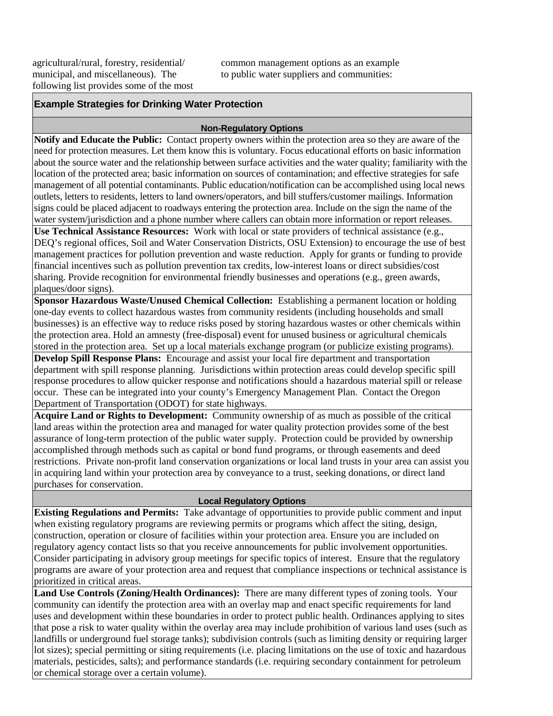agricultural/rural, forestry, residential/ municipal, and miscellaneous). The following list provides some of the most common management options as an example to public water suppliers and communities:

# **Example Strategies for Drinking Water Protection**

#### **Non-Regulatory Options**

**Notify and Educate the Public:** Contact property owners within the protection area so they are aware of the need for protection measures. Let them know this is voluntary. Focus educational efforts on basic information about the source water and the relationship between surface activities and the water quality; familiarity with the location of the protected area; basic information on sources of contamination; and effective strategies for safe management of all potential contaminants. Public education/notification can be accomplished using local news outlets, letters to residents, letters to land owners/operators, and bill stuffers/customer mailings. Information signs could be placed adjacent to roadways entering the protection area. Include on the sign the name of the water system/jurisdiction and a phone number where callers can obtain more information or report releases.

**Use Technical Assistance Resources:** Work with local or state providers of technical assistance (e.g., DEQ's regional offices, Soil and Water Conservation Districts, OSU Extension) to encourage the use of best management practices for pollution prevention and waste reduction. Apply for grants or funding to provide financial incentives such as pollution prevention tax credits, low-interest loans or direct subsidies/cost sharing. Provide recognition for environmental friendly businesses and operations (e.g., green awards, plaques/door signs).

**Sponsor Hazardous Waste/Unused Chemical Collection:** Establishing a permanent location or holding one-day events to collect hazardous wastes from community residents (including households and small businesses) is an effective way to reduce risks posed by storing hazardous wastes or other chemicals within the protection area. Hold an amnesty (free-disposal) event for unused business or agricultural chemicals stored in the protection area. Set up a local materials exchange program (or publicize existing programs).

**Develop Spill Response Plans:** Encourage and assist your local fire department and transportation department with spill response planning. Jurisdictions within protection areas could develop specific spill response procedures to allow quicker response and notifications should a hazardous material spill or release occur. These can be integrated into your county's Emergency Management Plan. Contact the Oregon Department of Transportation (ODOT) for state highways.

**Acquire Land or Rights to Development:** Community ownership of as much as possible of the critical land areas within the protection area and managed for water quality protection provides some of the best assurance of long-term protection of the public water supply. Protection could be provided by ownership accomplished through methods such as capital or bond fund programs, or through easements and deed restrictions. Private non-profit land conservation organizations or local land trusts in your area can assist you in acquiring land within your protection area by conveyance to a trust, seeking donations, or direct land purchases for conservation.

#### **Local Regulatory Options**

**Existing Regulations and Permits:** Take advantage of opportunities to provide public comment and input when existing regulatory programs are reviewing permits or programs which affect the siting, design, construction, operation or closure of facilities within your protection area. Ensure you are included on regulatory agency contact lists so that you receive announcements for public involvement opportunities. Consider participating in advisory group meetings for specific topics of interest. Ensure that the regulatory programs are aware of your protection area and request that compliance inspections or technical assistance is prioritized in critical areas.

**Land Use Controls (Zoning/Health Ordinances):** There are many different types of zoning tools. Your community can identify the protection area with an overlay map and enact specific requirements for land uses and development within these boundaries in order to protect public health. Ordinances applying to sites that pose a risk to water quality within the overlay area may include prohibition of various land uses (such as landfills or underground fuel storage tanks); subdivision controls (such as limiting density or requiring larger lot sizes); special permitting or siting requirements (i.e. placing limitations on the use of toxic and hazardous materials, pesticides, salts); and performance standards (i.e. requiring secondary containment for petroleum or chemical storage over a certain volume).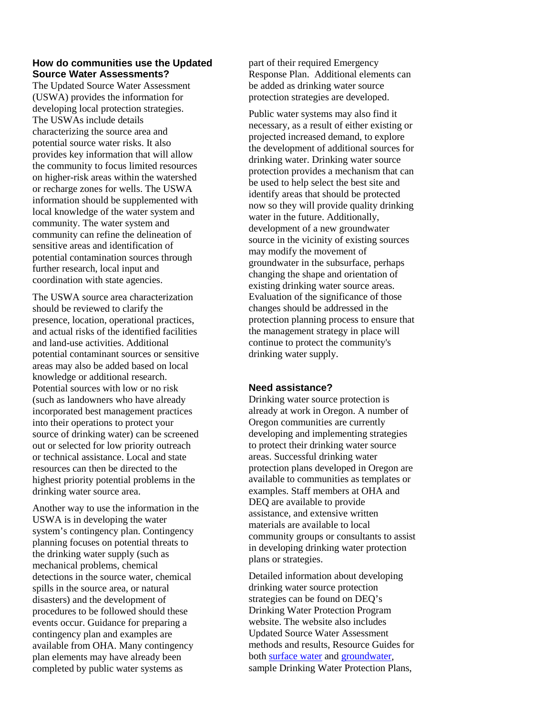## **How do communities use the Updated Source Water Assessments?**

The Updated Source Water Assessment (USWA) provides the information for developing local protection strategies. The USWAs include details characterizing the source area and potential source water risks. It also provides key information that will allow the community to focus limited resources on higher-risk areas within the watershed or recharge zones for wells. The USWA information should be supplemented with local knowledge of the water system and community. The water system and community can refine the delineation of sensitive areas and identification of potential contamination sources through further research, local input and coordination with state agencies.

The USWA source area characterization should be reviewed to clarify the presence, location, operational practices, and actual risks of the identified facilities and land-use activities. Additional potential contaminant sources or sensitive areas may also be added based on local knowledge or additional research. Potential sources with low or no risk (such as landowners who have already incorporated best management practices into their operations to protect your source of drinking water) can be screened out or selected for low priority outreach or technical assistance. Local and state resources can then be directed to the highest priority potential problems in the drinking water source area.

Another way to use the information in the USWA is in developing the water system's contingency plan. Contingency planning focuses on potential threats to the drinking water supply (such as mechanical problems, chemical detections in the source water, chemical spills in the source area, or natural disasters) and the development of procedures to be followed should these events occur. Guidance for preparing a contingency plan and examples are available from OHA. Many contingency plan elements may have already been completed by public water systems as

part of their required Emergency Response Plan. Additional elements can be added as drinking water source protection strategies are developed.

Public water systems may also find it necessary, as a result of either existing or projected increased demand, to explore the development of additional sources for drinking water. Drinking water source protection provides a mechanism that can be used to help select the best site and identify areas that should be protected now so they will provide quality drinking water in the future. Additionally, development of a new groundwater source in the vicinity of existing sources may modify the movement of groundwater in the subsurface, perhaps changing the shape and orientation of existing drinking water source areas. Evaluation of the significance of those changes should be addressed in the protection planning process to ensure that the management strategy in place will continue to protect the community's drinking water supply.

## **Need assistance?**

Drinking water source protection is already at work in Oregon. A number of Oregon communities are currently developing and implementing strategies to protect their drinking water source areas. Successful drinking water protection plans developed in Oregon are available to communities as templates or examples. Staff members at OHA and DEQ are available to provide assistance, and extensive written materials are available to local community groups or consultants to assist in developing drinking water protection plans or strategies.

Detailed information about developing drinking water source protection strategies can be found on DEQ's Drinking Water Protection Program website. The website also includes Updated Source Water Assessment methods and results, Resource Guides for bot[h surface](https://www.oregon.gov/deq/FilterDocs/SurfaceWaterResourceGuide.pdf) water and [groundwater,](https://www.oregon.gov/deq/FilterDocs/gwresguide.pdf) sample Drinking Water Protection Plans,